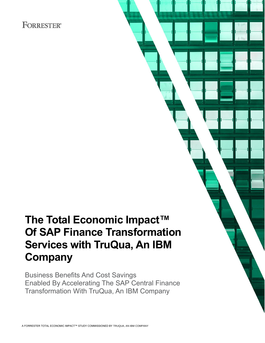## **FORRESTER®**

## **The Total Economic Impact™ Of SAP Finance Transformation Services with TruQua, An IBM Company**

Business Benefits And Cost Savings Enabled By Accelerating The SAP Central Finance Transformation With TruQua, An IBM Company

A FORRESTER TOTAL ECONOMIC IMPACT™ STUDY COMMISSIONED BY TRUQUA, AN IBM COMPANY

**MARCH 2022**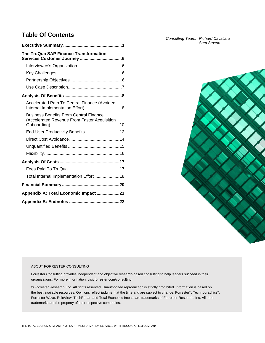## **Table Of Contents**

| The TruQua SAP Finance Transformation                                                         |
|-----------------------------------------------------------------------------------------------|
|                                                                                               |
|                                                                                               |
|                                                                                               |
|                                                                                               |
|                                                                                               |
| Accelerated Path To Central Finance (Avoided                                                  |
| <b>Business Benefits From Central Finance</b><br>(Accelerated Revenue From Faster Acquisition |
|                                                                                               |
|                                                                                               |
|                                                                                               |
|                                                                                               |
|                                                                                               |
|                                                                                               |
| Total Internal Implementation Effort  18                                                      |
|                                                                                               |
| Appendix A: Total Economic Impact 21                                                          |
|                                                                                               |

*Consulting Team: Richard Cavallaro Sam Sexton*



### ABOUT FORRESTER CONSULTING

Forrester Consulting provides independent and objective research-based consulting to help leaders succeed in their organizations. For more information, visit forrester.com/consulting.

© Forrester Research, Inc. All rights reserved. Unauthorized reproduction is strictly prohibited. Information is based on the best available resources. Opinions reflect judgment at the time and are subject to change. Forrester®, Technographics®, Forrester Wave, RoleView, TechRadar, and Total Economic Impact are trademarks of Forrester Research, Inc. All other trademarks are the property of their respective companies.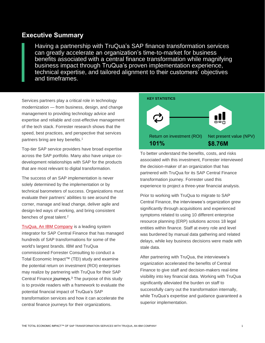## **Executive Summary**

Having a partnership with TruQua's SAP finance transformation services can greatly accelerate an organization's time-to-market for business benefits associated with a central finance transformation while magnifying business impact through TruQua's proven implementation experience, technical expertise, and tailored alignment to their customers' objectives and timeframes.

Services partners play a critical role in technology modernization — from business, design, and change management to providing technology advice and expertise and reliable and cost-effective management of the tech stack. Forrester research shows that the speed, best practices, and perspective that services partners bring are key benefits. 1

Top-tier SAP service providers have broad expertise across the SAP portfolio. Many also have unique codevelopment relationships with SAP for the products that are most relevant to digital transformation.

The success of an SAP implementation is never solely determined by the implementation or by technical barometers of success. Organizations must evaluate their partners' abilities to see around the corner, manage and lead change, deliver agile and design-led ways of working, and bring consistent benches of great talent.<sup>2</sup>

[TruQua,](https://www.truqua.com/) An IBM Company is a leading system integrator for SAP Central Finance that has managed hundreds of SAP transformations for some of the world's largest brands. IBM and TruQua commissioned Forrester Consulting to conduct a Total Economic Impact™ (TEI) study and examine the potential return on investment (ROI) enterprises may realize by partnering with TruQua for their SAP Central Finance journeys. <sup>3</sup> The purpose of this study is to provide readers with a framework to evaluate the potential financial impact of TruQua's SAP transformation services and how it can accelerate the central finance journeys for their organizations.



To better understand the benefits, costs, and risks associated with this investment, Forrester interviewed the decision-maker of an organization that has partnered with TruQua for its SAP Central Finance transformation journey. Forrester used this experience to project a three-year financial analysis.

Prior to working with TruQua to migrate to SAP Central Finance, the interviewee's organization grew significantly through acquisitions and experienced symptoms related to using 10 different enterprise resource planning (ERP) solutions across 18 legal entities within finance. Staff at every role and level was burdened by manual data gathering and related delays, while key business decisions were made with stale data.

After partnering with TruQua, the interviewee's organization accelerated the benefits of Central Finance to give staff and decision-makers real-time visibility into key financial data. Working with TruQua significantly alleviated the burden on staff to successfully carry out the transformation internally, while TruQua's expertise and guidance guaranteed a superior implementation.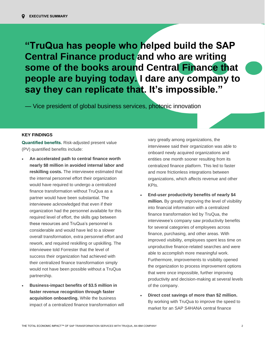• **"TruQua has people who helped build the SAP**  • **Central Finance product and who are writing**  some of the books around Central Finance that • **people are buying today. I dare any company to say they can replicate that. It's impossible."**

— Vice president of global business services, photonic innovation

### **KEY FINDINGS**

**Quantified benefits.** Risk-adjusted present value (PV) quantified benefits include:

- **An accelerated path to central finance worth nearly \$8 million in avoided internal labor and reskilling costs.** The interviewee estimated that the internal personnel effort their organization would have required to undergo a centralized finance transformation without TruQua as a partner would have been substantial. The interviewee acknowledged that even if their organization had the personnel available for this required level of effort, the skills gap between these resources and TruQua's personnel is considerable and would have led to a slower overall transformation, extra personnel effort and rework, and required reskilling or upskilling. The interviewee told Forrester that the level of success their organization had achieved with their centralized finance transformation simply would not have been possible without a TruQua partnership.
- **Business-impact benefits of \$3.5 million in faster revenue recognition through faster acquisition onboarding.** While the business impact of a centralized finance transformation will

vary greatly among organizations, the interviewee said their organization was able to onboard newly acquired organizations and entities one month sooner resulting from its centralized finance platform. This led to faster and more frictionless integrations between organizations, which affects revenue and other KPIs.

- **End-user productivity benefits of nearly \$4 million.** By greatly improving the level of visibility into financial information with a centralized finance transformation led by TruQua, the interviewee's company saw productivity benefits for several categories of employees across finance, purchasing, and other areas. With improved visibility, employees spent less time on unproductive finance-related searches and were able to accomplish more meaningful work. Furthermore, improvements to visibility opened the organization to process improvement options that were once impossible, further improving productivity and decision-making at several levels of the company.
- **Direct cost savings of more than \$2 million.** By working with TruQua to improve the speed to market for an SAP S4HANA central finance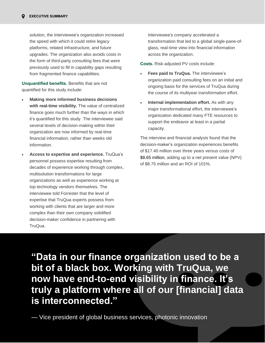solution, the interviewee's organization increased the speed with which it could retire legacy platforms, related infrastructure, and future upgrades. The organization also avoids costs in the form of third-party consulting fees that were previously used to fill in capability gaps resulting from fragmented finance capabilities.

**Unquantified benefits.** Benefits that are not quantified for this study include:

- **Making more informed business decisions with real-time visibility.** The value of centralized finance goes much further than the ways in which it's quantified for this study. The interviewee said several levels of decision-making within their organization are now informed by real-time financial information, rather than weeks old information.
- **Access to expertise and experience.** TruQua's personnel possess expertise resulting from decades of experience working through complex, multisolution transformations for large organizations as well as experience working at top technology vendors themselves. The interviewee told Forrester that the level of expertise that TruQua experts possess from working with clients that are larger and more complex than their own company solidified decision-maker confidence in partnering with TruQua.

interviewee's company accelerated a transformation that led to a global single-pane-ofglass, real-time view into financial information across the organization.

**Costs.** Risk-adjusted PV costs include:

- **Fees paid to TruQua.** The interviewee's organization paid consulting fees on an initial and ongoing basis for the services of TruQua during the course of its multiyear transformation effort.
- **Internal implementation effort.** As with any major transformational effort, the interviewee's organization dedicated many FTE resources to support the endeavor at least in a partial capacity.

The interview and financial analysis found that the decision-maker's organization experiences benefits of \$17.40 million over three years versus costs of \$8.65 million, adding up to a net present value (NPV) of \$8.75 million and an ROI of 101%.

**truly a platform where all of our [financial] data ic** intorconnected<sup>'</sup> is interconnected." **"Data in our finance organization used to be a bit of a black box. Working with TruQua, we now have end-to-end visibility in finance. It's** 

The Total Economic impact  $\mathbb{R}^n$  transformation services with true services with true services  $\mathbb{R}^n$ 

— Vice president of global business services, photonic innovation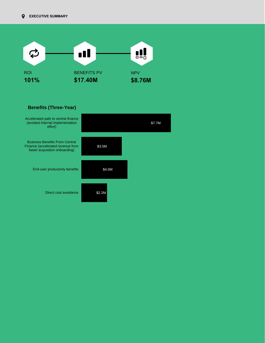

### \$7.7M \$3.5M \$4.0M Accelerated path to central finance (avoided internal implementation effort) Business Benefits From Central Finance (accelerated revenue from faster acquisition onboarding) End-user productivity benefits **Benefits (Three-Year)**

\$2.2M

Direct cost avoidance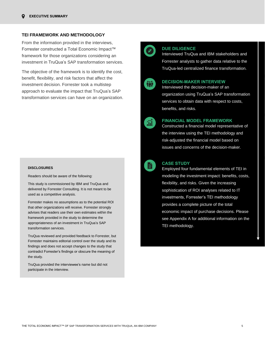### **TEI FRAMEWORK AND METHODOLOGY**

From the information provided in the interviews, Forrester constructed a Total Economic Impact™ framework for those organizations considering an investment in TruQua's SAP transformation services.

The objective of the framework is to identify the cost, benefit, flexibility, and risk factors that affect the investment decision. Forrester took a multistep approach to evaluate the impact that TruQua's SAP transformation services can have on an organization.

### **DISCLOSURES**

Readers should be aware of the following:

This study is commissioned by IBM and TruQua and delivered by Forrester Consulting. It is not meant to be used as a competitive analysis.

Forrester makes no assumptions as to the potential ROI that other organizations will receive. Forrester strongly advises that readers use their own estimates within the framework provided in the study to determine the appropriateness of an investment in TruQua's SAP transformation services.

TruQua reviewed and provided feedback to Forrester, but Forrester maintains editorial control over the study and its findings and does not accept changes to the study that contradict Forrester's findings or obscure the meaning of the study.

TruQua provided the interviewee's name but did not participate in the interview.

### **DUE DILIGENCE**

Interviewed TruQua and IBM stakeholders and Forrester analysts to gather data relative to the TruQua-led centralized finance transformation.



### **DECISION-MAKER INTERVIEW**

Interviewed the decision-maker of an organization using TruQua's SAP transformation services to obtain data with respect to costs, benefits, and risks.



### **FINANCIAL MODEL FRAMEWORK**

Constructed a financial model representative of the interview using the TEI methodology and risk-adjusted the financial model based on issues and concerns of the decision-maker.



#### **CASE STUDY**

Employed four fundamental elements of TEI in modeling the investment impact: benefits, costs, flexibility, and risks. Given the increasing sophistication of ROI analyses related to IT investments, Forrester's TEI methodology provides a complete picture of the total economic impact of purchase decisions. Please see Appendix A for additional information on the TEI methodology.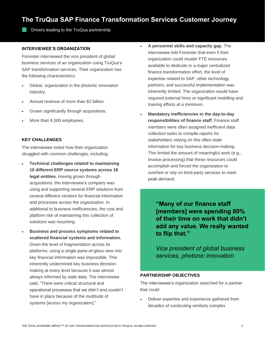## **The TruQua SAP Finance Transformation Services Customer Journey**

Drivers leading to the TruQua partnership

### **INTERVIEWEE'S ORGANIZATION**

Forrester interviewed the vice president of global business services of an organization using TruQua's SAP transformation services. Their organization has the following characteristics:

- Global, organization in the photonic innovation industry.
- Annual revenue of more than \$1 billion.
- Grown significantly through acquisitions.
- More than 6,500 employees.

### **KEY CHALLENGES**

The interviewee noted how their organization struggled with common challenges, including:

- **Technical challenges related to maintaining 10 different ERP source systems across 18 legal entities.** Having grown through acquisitions, the interviewee's company was using and supporting several ERP solutions from several different vendors for financial information and processes across the organization. In additional to business inefficiencies, the cost and platform risk of maintaining this collection of solutions was mounting.
- **Business and process symptoms related to scattered financial systems and information.** Given the level of fragmentation across its platforms, using a single-pane-of-glass view into key financial information was impossible. This inherently undermined key business decisionmaking at every level because it was almost always informed by stale data. The interviewee said, "There were critical structural and operational processes that we didn't and couldn't have in place because of the multitude of systems [across my organization]."
- **A personnel skills and capacity gap.** The interviewee told Forrester that even if their organization could muster FTE resources available to dedicate to a major centralized finance transformation effort, the level of expertise related to SAP, other technology partners, and successful implementation was inherently limited. The organization would have required external hires or significant reskilling and training efforts at a minimum.
- **Mandatory inefficiencies in the day-to-day responsibilities of finance staff.** Finance staff members were often assigned inefficient data collection tasks to compile reports for stakeholders relying on this often-stale information for key business decision-making. This limited the amount of meaningful work (e.g., invoice processing) that these resources could accomplish and forced the organization to overhire or rely on third-party services to meet peak demand.

**"Many of our finance staff [members] were spending 80% of their time on work that didn't add any value. We really wanted to flip that."**

*Vice president of global business services, photonic innovation*

### **PARTNERSHIP OBJECTIVES**

The interviewee's organization searched for a partner that could:

• Deliver expertise and experience gathered from decades of conducting similarly complex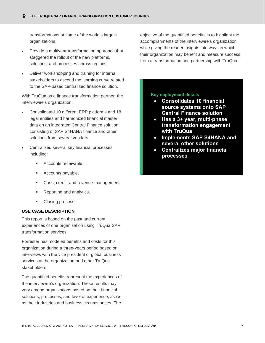transformations at some of the world's largest organizations.

- Provide a multiyear transformation approach that staggered the rollout of the new platforms, solutions, and processes across regions.
- Deliver workshopping and training for internal stakeholders to ascend the learning curve related to the SAP-based centralized finance solution.

With TruQua as a finance transformation partner, the interviewee's organization:

- Consolidated 10 different ERP platforms and 18 legal entities and harmonized financial master data on an integrated Central Finance solution consisting of SAP S4HANA finance and other solutions from several vendors.
- Centralized several key financial processes, including:
	- Accounts receivable.
	- Accounts payable.
	- Cash, credit, and revenue management.
	- Reporting and analytics.
	- Closing process.

### **USE CASE DESCRIPTION**

This report is based on the past and current experiences of one organization using TruQua SAP transformation services.

Forrester has modeled benefits and costs for this organization during a three-years period based on interviews with the vice president of global business services at the organization and other TruQua stakeholders.

The quantified benefits represent the experiences of the interviewee's organization. These results may vary among organizations based on their financial solutions, processes, and level of experience, as well as their industries and business circumstances. The

objective of the quantified benefits is to highlight the accomplishments of the interviewee's organization while giving the reader insights into ways in which their organization may benefit and measure success from a transformation and partnership with TruQua.

### **Key deployment details**

- **Consolidates 10 financial source systems onto SAP Central Finance solution**
- **Has a 3+ year, multi-phase transformation engagement with TruQua**
- **Implements SAP S4HANA and several other solutions**
- **Centralizes major financial processes**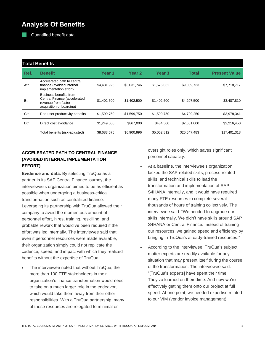## **Analysis Of Benefits**

Quantified benefit data

|            | <b>Total Benefits</b>                                                                                    |             |             |                   |              |                      |  |  |  |  |  |
|------------|----------------------------------------------------------------------------------------------------------|-------------|-------------|-------------------|--------------|----------------------|--|--|--|--|--|
| Ref.       | <b>Benefit</b>                                                                                           | Year 1      | Year 2      | Year <sub>3</sub> | Total        | <b>Present Value</b> |  |  |  |  |  |
| Atr        | Accelerated path to central<br>finance (avoided internal<br>implementation effort)                       | \$4,431,926 | \$3,031,746 | \$1,576,062       | \$9,039,733  | \$7,718,717          |  |  |  |  |  |
| <b>Btr</b> | Business benefits from<br>Central Finance (accelerated<br>revenue from faster<br>acquisition onboarding) | \$1,402,500 | \$1,402,500 | \$1,402,500       | \$4,207,500  | \$3,487,810          |  |  |  |  |  |
| Ctr        | End-user productivity benefits                                                                           | \$1,599,750 | \$1,599,750 | \$1,599,750       | \$4,799,250  | \$3,978,341          |  |  |  |  |  |
| Dtr        | Direct cost avoidance                                                                                    | \$1,249,500 | \$867,000   | \$484,500         | \$2,601,000  | \$2,216,450          |  |  |  |  |  |
|            | Total benefits (risk-adjusted)                                                                           | \$8,683,676 | \$6,900,996 | \$5,062,812       | \$20,647,483 | \$17,401,318         |  |  |  |  |  |

### **ACCELERATED PATH TO CENTRAL FINANCE (AVOIDED INTERNAL IMPLEMENTATION EFFORT)**

**Evidence and data.** By selecting TruQua as a partner in its SAP Central Finance journey, the interviewee's organization aimed to be as efficient as possible when undergoing a business-critical transformation such as centralized finance. Leveraging its partnership with TruQua allowed their company to avoid the momentous amount of personnel effort, hires, training, reskilling, and probable rework that would've been required if the effort was led internally. The interviewee said that even if personnel resources were made available, their organization simply could not replicate the cadence, speed, and impact with which they realized benefits without the expertise of TruQua.

The interviewee noted that without TruQua, the more than 100 FTE stakeholders in their organization's finance transformation would need to take on a much larger role in the endeavor, which would take them away from their other responsibilities. With a TruQua partnership, many of these resources are relegated to minimal or

oversight roles only, which saves significant personnel capacity.

- At a baseline, the interviewee's organization lacked the SAP-related skills, process-related skills, and technical skills to lead the transformation and implementation of SAP S4HANA internally, and it would have required many FTE resources to complete several thousands of hours of training collectively. The interviewee said: "We needed to upgrade our skills internally. We didn't have skills around SAP S4HANA or Central Finance. Instead of training our resources, we gained speed and efficiency by bringing in TruQua's already-trained resources."
- According to the interviewee, TruQua's subject matter experts are readily available for any situation that may present itself during the course of the transformation. The interviewee said: "[TruQua's experts] have spent their time. They've learned on their dime. And now we're effectively getting them onto our project at full speed. At one point, we needed expertise related to our VIM (vendor invoice management)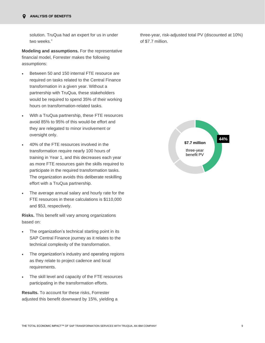solution. TruQua had an expert for us in under two weeks."

**Modeling and assumptions.** For the representative financial model, Forrester makes the following assumptions:

- Between 50 and 150 internal FTE resource are required on tasks related to the Central Finance transformation in a given year. Without a partnership with TruQua, these stakeholders would be required to spend 35% of their working hours on transformation-related tasks.
- With a TruQua partnership, these FTE resources avoid 85% to 95% of this would-be effort and they are relegated to minor involvement or oversight only.
- 40% of the FTE resources involved in the transformation require nearly 100 hours of training in Year 1, and this decreases each year as more FTE resources gain the skills required to participate in the required transformation tasks. The organization avoids this deliberate reskilling effort with a TruQua partnership.
- The average annual salary and hourly rate for the FTE resources in these calculations is \$110,000 and \$53, respectively.

**Risks.** This benefit will vary among organizations based on:

- The organization's technical starting point in its SAP Central Finance journey as it relates to the technical complexity of the transformation.
- The organization's industry and operating regions as they relate to project cadence and local requirements.
- The skill level and capacity of the FTE resources participating in the transformation efforts.

**Results.** To account for these risks, Forrester adjusted this benefit downward by 15%, yielding a three-year, risk-adjusted total PV (discounted at 10%) of \$7.7 million.

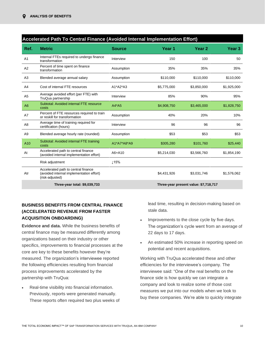|                 | Accelerated Path To Central Finance (Avoided Internal Implementation Effort)                       |                  |             |                                       |                   |  |  |  |  |
|-----------------|----------------------------------------------------------------------------------------------------|------------------|-------------|---------------------------------------|-------------------|--|--|--|--|
| Ref.            | <b>Metric</b>                                                                                      | <b>Source</b>    | Year 1      | Year <sub>2</sub>                     | Year <sub>3</sub> |  |  |  |  |
| A <sub>1</sub>  | Internal FTEs required to undergo finance<br>transformation                                        | Interview        | 150         | 100                                   | 50                |  |  |  |  |
| A2              | Percent of time spent on finance<br>transformation                                                 | Assumption       | 35%         | 35%                                   | 35%               |  |  |  |  |
| A <sub>3</sub>  | Blended average annual salary                                                                      | Assumption       | \$110,000   | \$110,000                             | \$110,000         |  |  |  |  |
| A4              | Cost of internal FTE resources                                                                     | $A1^*A2^*A3$     | \$5,775,000 | \$3,850,000                           | \$1,925,000       |  |  |  |  |
| A <sub>5</sub>  | Average avoided effort (per FTE) with<br>TruQua partnership                                        | Interview        | 85%         | 90%                                   | 95%               |  |  |  |  |
| A <sub>6</sub>  | Subtotal: Avoided internal FTE resource<br>costs                                                   | $A4*A5$          | \$4,908,750 | \$3,465,000                           | \$1,828,750       |  |  |  |  |
| A7              | Percent of FTE resources required to train<br>or reskill for transformation                        | Assumption       | 40%         | 20%                                   | 10%               |  |  |  |  |
| A <sub>8</sub>  | Average time of training required for<br>certification (hours)                                     | Interview        | 96          | 96                                    | 96                |  |  |  |  |
| A <sub>9</sub>  | Blended average hourly rate (rounded)                                                              | Assumption       | \$53        | \$53                                  | \$53              |  |  |  |  |
| A <sub>10</sub> | Subtotal: Avoided internal FTE training<br>costs                                                   | A1*A7*A8*A9      | \$305,280   | \$101,760                             | \$25,440          |  |  |  |  |
| At              | Accelerated path to central finance<br>(avoided internal implementation effort)                    | A6+A10           | \$5,214,030 | \$3,566,760                           | \$1,854,190       |  |  |  |  |
|                 | Risk adjustment                                                                                    | $\downarrow$ 15% |             |                                       |                   |  |  |  |  |
| Atr             | Accelerated path to central finance<br>(avoided internal implementation effort)<br>(risk-adjusted) |                  | \$4,431,926 | \$3,031,746                           | \$1,576,062       |  |  |  |  |
|                 | Three-year total: \$9,039,733                                                                      |                  |             | Three-year present value: \$7,718,717 |                   |  |  |  |  |

### **BUSINESS BENEFITS FROM CENTRAL FINANCE (ACCELERATED REVENUE FROM FASTER ACQUISITION ONBOARDING)**

**Evidence and data.** While the business benefits of central finance may be measured differently among organizations based on their industry or other specifics, improvements to financial processes at the core are key to these benefits however they're measured. The organization's interviewee reported the following efficiencies resulting from financial process improvements accelerated by the partnership with TruQua:

Real-time visibility into financial information. Previously, reports were generated manually. These reports often required two plus weeks of lead time, resulting in decision-making based on stale data.

- Improvements to the close cycle by five days. The organization's cycle went from an average of 22 days to 17 days.
- An estimated 50% increase in reporting speed on potential and recent acquisitions.

Working with TruQua accelerated these and other efficiencies for the interviewee's company. The interviewee said: "One of the real benefits on the finance side is how quickly we can integrate a company and look to realize some of those cost measures we put into our models when we look to buy these companies. We're able to quickly integrate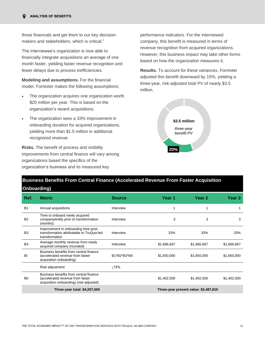those financials and get them to our key decisionmakers and stakeholders, which is critical."

The interviewee's organization is now able to financially integrate acquisitions an average of one month faster, yielding faster revenue recognition and fewer delays due to process inefficiencies.

**Modeling and assumptions.** For the financial model, Forrester makes the following assumptions:

- The organization acquires one organization worth \$20 million per year. This is based on the organization's recent acquisitions.
- The organization sees a 33% improvement in onboarding duration for acquired organizations, yielding more than \$1.5 million in additional recognized revenue.

**Risks.** The benefit of process and visibility improvements from central finance will vary among organizations based the specifics of the organization's business and its measured key

performance indicators. For the interviewed company, this benefit is measured in terms of revenue recognition from acquired organizations. However, this business impact may take other forms based on how the organization measures it.

**Results.** To account for these variances, Forrester adjusted this benefit downward by 15%, yielding a three-year, risk-adjusted total PV of nearly \$3.5 million.



## **Business Benefits From Central Finance (Accelerated Revenue From Faster Acquisition**

| Onboarding)    |                                                                                                                       |               |             |                                       |             |  |
|----------------|-----------------------------------------------------------------------------------------------------------------------|---------------|-------------|---------------------------------------|-------------|--|
| Ref.           | <b>Metric</b>                                                                                                         | <b>Source</b> | Year 1      | Year <sub>2</sub>                     | Year 3      |  |
| <b>B1</b>      | Annual acquisitions                                                                                                   | Interview     | 1           |                                       |             |  |
| <b>B2</b>      | Time to onboard newly acquired<br>company/entity prior to transformation<br>(months)                                  | Interview     | 3           | 3                                     | 3           |  |
| B <sub>3</sub> | Improvement in onboarding time post-<br>transformation attributable to TruQua-led<br>transformation                   | Interview     | 33%         | 33%                                   | 33%         |  |
| <b>B4</b>      | Average monthly revenue from newly<br>acquired company (rounded)                                                      | Interview     | \$1,666,667 | \$1,666,667                           | \$1,666,667 |  |
| <b>Bt</b>      | Business benefits from central finance<br>(accelerated revenue from faster<br>acquisition onboarding)                 | B1*B2*B3*B4   | \$1,650,000 | \$1,650,000                           | \$1,650,000 |  |
|                | Risk adjustment                                                                                                       | ↓15%          |             |                                       |             |  |
| <b>Btr</b>     | Business benefits from central finance<br>(accelerated revenue from faster<br>acquisition onboarding) (risk-adjusted) |               | \$1,402,500 | \$1,402,500                           | \$1,402,500 |  |
|                | Three-year total: \$4,207,500                                                                                         |               |             | Three-year present value: \$3,487,810 |             |  |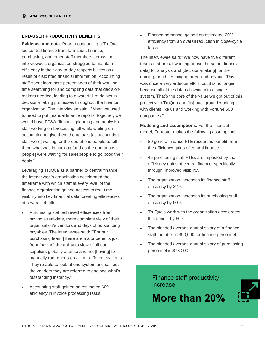### **END-USER PRODUCTIVITY BENEFITS**

**Evidence and data.** Prior to conducting a TruQualed central finance transformation, finance, purchasing, and other staff members across the interviewee's organization struggled to maintain efficiency in their day-to-day responsibilities as a result of disjointed financial information. Accounting staff spent inordinate percentages of their working time searching for and compiling data that decisionmakers needed, leading to a waterfall of delays in decision-making processes throughout the finance organization. The interviewee said: "When we used to need to put [manual finance reports] together, we would have FP&A (financial planning and analysis) staff working on forecasting, all while waiting on accounting to give them the actuals [as accounting staff were] waiting for the operations people to tell them what was in backlog [and as the operations people] were waiting for salespeople to go book their deals."

Leveraging TruQua as a partner to central finance, the interviewee's organization accelerated the timeframe with which staff at every level of the finance organization gained access to real-time visibility into key financial data, creating efficiencies at several job titles.

- Purchasing staff achieved efficiencies from having a real-time, more complete view of their organization's vendors and days of outstanding payables. The interviewee said: "[For our purchasing team,] there are major benefits just from [having] the ability to view of all our suppliers globally at once and not [having] to manually run reports on all our different systems. They're able to look at one system and call out the vendors they are referred to and see what's outstanding instantly."
- Accounting staff gained an estimated 60% efficiency in invoice processing tasks.

• Finance personnel gained an estimated 20% efficiency from an overall reduction in close-cycle tasks.

The interviewee said: "We now have five different teams that are all working to use the same [financial data] for analysis and [decision-making] for the coming month, coming quarter, and beyond. This was once a very arduous effort, but it is no longer because all of the data is flowing into a single system. That's the core of the value we got out of this project with TruQua and [its] background working with clients like us and working with Fortune 500 companies."

**Modeling and assumptions.** For the financial model, Forrester makes the following assumptions:

- 80 general finance FTE resources benefit from the efficiency gains of central finance.
- 45 purchasing staff FTEs are impacted by the efficiency gains of central finance, specifically through improved visibility.
- The organization increases its finance staff efficiency by 22%.
- The organization increases its purchasing staff efficiency by 60%.
- TruQua's work with the organization accelerates this benefit by 50%.
- The blended average annual salary of a finance staff member is \$90,000 for finance personnel.
- The blended average annual salary of purchasing personnel is \$73,000.

Finance staff productivity increase

## **More than 20%**

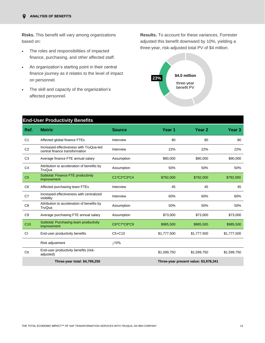**Risks.** This benefit will vary among organizations based on:

- The roles and responsibilities of impacted finance, purchasing, and other affected staff.
- An organization's starting point in their central finance journey as it relates to the level of impact on personnel.
- The skill and capacity of the organization's affected personnel.

**Results.** To account for these variances, Forrester adjusted this benefit downward by 10%, yielding a three-year, risk-adjusted total PV of \$4 million.



|                 | <b>End-User Productivity Benefits</b>                                     |               |                   |                                       |             |  |  |  |
|-----------------|---------------------------------------------------------------------------|---------------|-------------------|---------------------------------------|-------------|--|--|--|
| Ref.            | <b>Metric</b>                                                             | <b>Source</b> | Year <sub>1</sub> | Year <sub>2</sub>                     | Year 3      |  |  |  |
| C <sub>1</sub>  | Affected global finance FTEs                                              | Interview     | 80                | 80                                    | 80          |  |  |  |
| C <sub>2</sub>  | Increased effectiveness with TruQua-led<br>central finance transformation | Interview     | 22%               | 22%                                   | 22%         |  |  |  |
| C <sub>3</sub>  | Average finance FTE annual salary                                         | Assumption    | \$90,000          | \$90,000                              | \$90,000    |  |  |  |
| C <sub>4</sub>  | Attribution to acceleration of benefits by<br>TruQua                      | Assumption    | 50%               | 50%                                   | 50%         |  |  |  |
| C <sub>5</sub>  | Subtotal: Finance FTE productivity<br>improvement                         | C1*C2*C3*C4   | \$792,000         | \$792,000                             | \$792,000   |  |  |  |
| C <sub>6</sub>  | Affected purchasing team FTEs                                             | Interview     | 45                | 45                                    | 45          |  |  |  |
| C7              | Increased effectiveness with centralized<br>visibility                    | Interview     | 60%               | 60%                                   | 60%         |  |  |  |
| C <sub>8</sub>  | Attribution to acceleration of benefits by<br>TruQua                      | Assumption    | 50%               | 50%                                   | 50%         |  |  |  |
| C <sub>9</sub>  | Average purchasing FTE annual salary                                      | Assumption    | \$73,000          | \$73,000                              | \$73,000    |  |  |  |
| C <sub>10</sub> | Subtotal: Purchasing team productivity<br>improvement                     | C6*C7*C8*C9   | \$985,500         | \$985,500                             | \$985,500   |  |  |  |
| Ct              | End-user productivity benefits                                            | $C5+C10$      | \$1,777,500       | \$1,777,500                           | \$1,777,500 |  |  |  |
|                 | Risk adjustment                                                           | 10%           |                   |                                       |             |  |  |  |
| Ctr             | End-user productivity benefits (risk-<br>adjusted)                        |               | \$1,599,750       | \$1,599,750                           | \$1,599,750 |  |  |  |
|                 | Three-year total: \$4,799,250                                             |               |                   | Three-year present value: \$3,978,341 |             |  |  |  |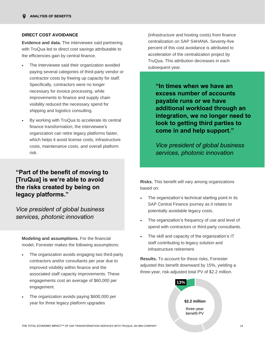### **DIRECT COST AVOIDANCE**

**Evidence and data.** The interviewee said partnering with TruQua led to direct cost savings attributable to the efficiencies gain by central finance.

- The interviewee said their organization avoided paying several categories of third-party vendor or contractor costs by freeing up capacity for staff. Specifically, contractors were no longer necessary for invoice processing, while improvements to finance and supply chain visibility reduced the necessary spend for shipping and logistics consulting.
- By working with TruQua to accelerate its central finance transformation, the interviewee's organization can retire legacy platforms faster, which helps it avoid license costs, infrastructure costs, maintenance costs, and overall platform risk.

## **"Part of the benefit of moving to [TruQua] is we're able to avoid the risks created by being on legacy platforms."**

*Vice president of global business services, photonic innovation*

**Modeling and assumptions.** For the financial model, Forrester makes the following assumptions:

- The organization avoids engaging two third-party contractors and/or consultants per year due to improved visibility within finance and the associated staff capacity improvements. These engagements cost an average of \$60,000 per engagement.
- The organization avoids paying \$600,000 per year for three legacy platform upgrades

(infrastructure and hosting costs) from finance centralization on SAP S4HANA. Seventy-five percent of this cost avoidance is attributed to acceleration of the centralization project by TruQua. This attribution decreases in each subsequent year.

**"In times when we have an excess number of accounts payable runs or we have additional workload through an integration, we no longer need to look to getting third parties to come in and help support."**

*Vice president of global business services, photonic innovation*

**Risks.** This benefit will vary among organizations based on:

- The organization's technical starting point in its SAP Central Finance journey as it relates to potentially avoidable legacy costs.
- The organization's frequency of use and level of spend with contractors or third-party consultants.
- The skill and capacity of the organization's IT staff contributing to legacy solution and infrastructure retirement.

**Results.** To account for these risks, Forrester adjusted this benefit downward by 15%, yielding a three-year, risk-adjusted total PV of \$2.2 million.

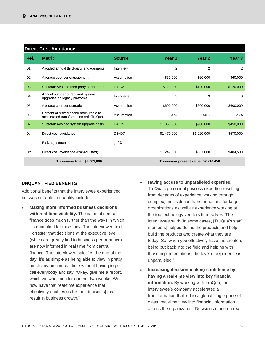|                | <b>Direct Cost Avoidance</b>                                                       |               |                |                                       |           |  |  |  |  |
|----------------|------------------------------------------------------------------------------------|---------------|----------------|---------------------------------------|-----------|--|--|--|--|
| Ref.           | <b>Metric</b>                                                                      | <b>Source</b> | Year 1         | Year 2                                | Year 3    |  |  |  |  |
| D <sub>1</sub> | Avoided annual third-party engagements                                             | Interview     | $\overline{2}$ | $\overline{2}$                        | 2         |  |  |  |  |
| D <sub>2</sub> | Average cost per engagement                                                        | Assumption    | \$60,000       | \$60,000                              | \$60,000  |  |  |  |  |
| D <sub>3</sub> | Subtotal: Avoided third-party partner fees                                         | $D1^{\ast}D2$ | \$120,000      | \$120,000                             | \$120,000 |  |  |  |  |
| D <sub>4</sub> | Annual number of required system<br>upgrades on legacy platforms                   | Interviews    | 3              | 3                                     | 3         |  |  |  |  |
| D <sub>5</sub> | Average cost per upgrade                                                           | Assumption    | \$600,000      | \$600,000                             | \$600,000 |  |  |  |  |
| D <sub>6</sub> | Percent of retired spend attributable to<br>accelerated transformation with TruQua | Assumption    | 75%            | 50%                                   | 25%       |  |  |  |  |
| D <sub>7</sub> | Subtotal: Avoided system upgrade costs                                             | $D4^{\ast}D5$ | \$1,350,000    | \$900,000                             | \$450,000 |  |  |  |  |
| Dt             | Direct cost avoidance                                                              | $D3+D7$       | \$1,470,000    | \$1,020,000                           | \$570,000 |  |  |  |  |
|                | Risk adjustment                                                                    | ⊥15%          |                |                                       |           |  |  |  |  |
| Dtr            | Direct cost avoidance (risk-adjusted)                                              |               | \$1,249,500    | \$867,000                             | \$484.500 |  |  |  |  |
|                | Three-year total: \$2,601,000                                                      |               |                | Three-year present value: \$2,216,450 |           |  |  |  |  |

### **UNQUANTIFIED BENEFITS**

Additional benefits that the interviewee experienced but was not able to quantify include:

- **Making more informed business decisions with real-time visibility.** The value of central finance goes much further than the ways in which it's quantified for this study. The interviewee told Forrester that decisions at the executive level (which are greatly tied to business performance) are now informed in real time from central finance. The interviewee said: "At the end of the day, it's as simple as being able to view in pretty much anything in real time without having to go call everybody and say, 'Okay, give me a report,' which we won't see for another two weeks. We now have that real-time experience that effectively enables us for the [decisions] that result in business growth."
- **Having access to unparalleled expertise.** TruQua's personnel possess expertise resulting from decades of experience working through complex, multisolution transformations for large organizations as well as experience working at the top technology vendors themselves. The interviewee said: "In some cases, [TruQua's staff members] helped define the products and help build the products and create what they are today. So, when you effectively have the creators being put back into the field and helping with those implementations, the level of experience is unparalleled."
- **Increasing decision-making confidence by having a real-time view into key financial information.** By working with TruQua, the interviewee's company accelerated a transformation that led to a global single-pane-ofglass, real-time view into financial information across the organization. Decisions made on real-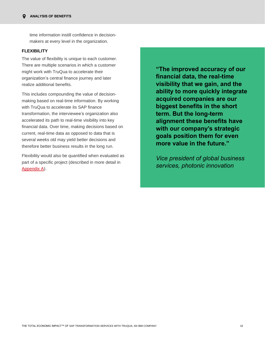time information instill confidence in decisionmakers at every level in the organization.

### **FLEXIBILITY**

The value of flexibility is unique to each customer. There are multiple scenarios in which a customer might work with TruQua to accelerate their organization's central finance journey and later realize additional benefits.

This includes compounding the value of decisionmaking based on real-time information. By working with TruQua to accelerate its SAP finance transformation, the interviewee's organization also accelerated its path to real-time visibility into key financial data. Over time, making decisions based on current, real-time data as opposed to data that is several weeks old may yield better decisions and therefore better business results in the long run.

Flexibility would also be quantified when evaluated as part of a specific project (described in more detail in [Appendix A\)](#page-22-0).

**"The improved accuracy of our financial data, the real-time visibility that we gain, and the ability to more quickly integrate acquired companies are our biggest benefits in the short term. But the long-term alignment these benefits have with our company's strategic goals position them for even more value in the future."**

*Vice president of global business services, photonic innovation*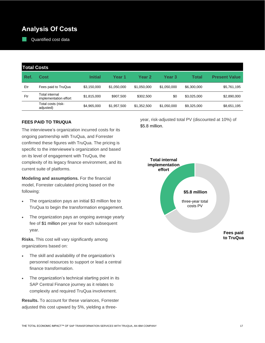## **Analysis Of Costs**

Quantified cost data

| <b>Total Costs</b> |                                         |                |             |             |             |             |                      |  |
|--------------------|-----------------------------------------|----------------|-------------|-------------|-------------|-------------|----------------------|--|
| Ref.               | Cost                                    | <b>Initial</b> | Year 1      | Year 2      | Year 3      | Total       | <b>Present Value</b> |  |
| Etr                | Fees paid to TruQua                     | \$3,150,000    | \$1,050,000 | \$1,050,000 | \$1,050,000 | \$6,300,000 | \$5,761,195          |  |
| Ftr                | Total internal<br>implementation effort | \$1,815,000    | \$907,500   | \$302.500   | \$0         | \$3,025,000 | \$2,890,000          |  |
|                    | Total costs (risk-<br>adjusted)         | \$4,965,000    | \$1,957,500 | \$1,352,500 | \$1,050,000 | \$9,325,000 | \$8,651,195          |  |

### **FEES PAID TO TRUQUA**

The interviewee's organization incurred costs for its ongoing partnership with TruQua, and Forrester confirmed these figures with TruQua. The pricing is specific to the interviewee's organization and based on its level of engagement with TruQua, the complexity of its legacy finance environment, and its current suite of platforms.

**Modeling and assumptions.** For the financial model, Forrester calculated pricing based on the following:

- The organization pays an initial \$3 million fee to TruQua to begin the transformation engagement.
- The organization pays an ongoing average yearly fee of \$1 million per year for each subsequent year.

**Risks.** This cost will vary significantly among organizations based on:

- The skill and availability of the organization's personnel resources to support or lead a central finance transformation.
- The organization's technical starting point in its SAP Central Finance journey as it relates to complexity and required TruQua involvement.

**Results.** To account for these variances, Forrester adjusted this cost upward by 5%, yielding a threeyear, risk-adjusted total PV (discounted at 10%) of \$5.8 million.

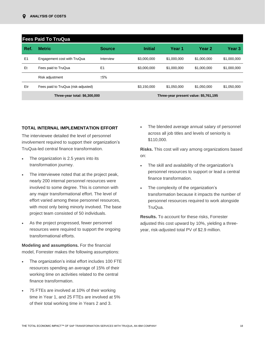|                               | <b>Fees Paid To TruQua</b>          |                |                |                                       |             |             |  |  |
|-------------------------------|-------------------------------------|----------------|----------------|---------------------------------------|-------------|-------------|--|--|
| Ref.                          | <b>Metric</b>                       | <b>Source</b>  | <b>Initial</b> | Year 1                                | Year 2      | Year 3      |  |  |
| E1                            | Engagement cost with TruQua         | Interview      | \$3,000,000    | \$1,000,000                           | \$1,000,000 | \$1,000,000 |  |  |
| Et                            | Fees paid to TruQua                 | E <sub>1</sub> | \$3,000,000    | \$1,000,000                           | \$1,000,000 | \$1,000,000 |  |  |
|                               | Risk adjustment                     | ↑5%            |                |                                       |             |             |  |  |
| Etr                           | Fees paid to TruQua (risk-adjusted) |                | \$3,150,000    | \$1,050,000                           | \$1,050,000 | \$1,050,000 |  |  |
| Three-year total: \$6,300,000 |                                     |                |                | Three-year present value: \$5,761,195 |             |             |  |  |

### **TOTAL INTERNAL IMPLEMENTATION EFFORT**

The interviewee detailed the level of personnel involvement required to support their organization's TruQua-led central finance transformation.

- The organization is 2.5 years into its transformation journey.
- The interviewee noted that at the project peak, nearly 200 internal personnel resources were involved to some degree. This is common with any major transformational effort. The level of effort varied among these personnel resources, with most only being minorly involved. The base project team consisted of 50 individuals.
- As the project progressed, fewer personnel resources were required to support the ongoing transformational efforts.

**Modeling and assumptions.** For the financial model, Forrester makes the following assumptions:

- The organization's initial effort includes 100 FTE resources spending an average of 15% of their working time on activities related to the central finance transformation.
- 75 FTEs are involved at 10% of their working time in Year 1, and 25 FTEs are involved at 5% of their total working time in Years 2 and 3.

• The blended average annual salary of personnel across all job titles and levels of seniority is \$110,000.

**Risks.** This cost will vary among organizations based on:

- The skill and availability of the organization's personnel resources to support or lead a central finance transformation.
- The complexity of the organization's transformation because it impacts the number of personnel resources required to work alongside TruQua.

**Results.** To account for these risks, Forrester adjusted this cost upward by 10%, yielding a threeyear, risk-adjusted total PV of \$2.9 million.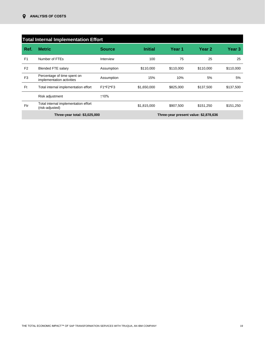|                               | <b>Total Internal Implementation Effort</b>              |               |                |                                       |           |           |  |  |  |
|-------------------------------|----------------------------------------------------------|---------------|----------------|---------------------------------------|-----------|-----------|--|--|--|
| Ref.                          | <b>Metric</b>                                            | <b>Source</b> | <b>Initial</b> | Year 1                                | Year 2    | Year 3    |  |  |  |
| F <sub>1</sub>                | Number of FTEs                                           | Interview     | 100            | 75                                    | 25        | 25        |  |  |  |
| F <sub>2</sub>                | <b>Blended FTE salary</b>                                | Assumption    | \$110,000      | \$110,000                             | \$110,000 | \$110,000 |  |  |  |
| F <sub>3</sub>                | Percentage of time spent on<br>implementation activities | Assumption    | 15%            | 10%                                   | 5%        | 5%        |  |  |  |
| Ft                            | Total internal implementation effort                     | F1*F2*F3      | \$1,650,000    | \$825,000                             | \$137,500 | \$137,500 |  |  |  |
|                               | Risk adjustment                                          | ↑10%          |                |                                       |           |           |  |  |  |
| Ftr                           | Total internal implementation effort<br>(risk-adjusted)  |               | \$1,815,000    | \$907,500                             | \$151,250 | \$151,250 |  |  |  |
| Three-year total: \$3,025,000 |                                                          |               |                | Three-year present value: \$2,878,636 |           |           |  |  |  |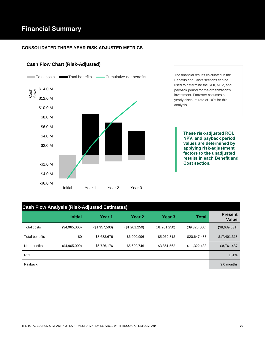## **Financial Summary**

### **CONSOLIDATED THREE-YEAR RISK-ADJUSTED METRICS**

### **Cash Flow Chart (Risk-Adjusted)**



## **Cash Flow Analysis (Risk-Adjusted Estimates)**

|                       | <b>Initial</b> | Year 1        | Year 2        | <b>Year 3</b> | Total         | <b>Present</b><br>Value |
|-----------------------|----------------|---------------|---------------|---------------|---------------|-------------------------|
| <b>Total costs</b>    | (\$4,965,000)  | (\$1,957,500) | (\$1,201,250) | (\$1,201,250) | (\$9,325,000) | (\$8,639,831)           |
| <b>Total benefits</b> | \$0            | \$8,683,676   | \$6,900,996   | \$5,062,812   | \$20,647,483  | \$17,401,318            |
| Net benefits          | (\$4,965,000)  | \$6,726,176   | \$5,699,746   | \$3,861,562   | \$11,322,483  | \$8,761,487             |
| <b>ROI</b>            |                |               |               |               |               | 101%                    |
| Payback               |                |               |               |               |               | 9.0 months              |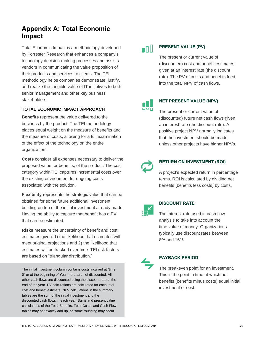## <span id="page-22-0"></span>**Appendix A: Total Economic Impact**

Total Economic Impact is a methodology developed by Forrester Research that enhances a company's technology decision-making processes and assists vendors in communicating the value proposition of their products and services to clients. The TEI methodology helps companies demonstrate, justify, and realize the tangible value of IT initiatives to both senior management and other key business stakeholders.

### **TOTAL ECONOMIC IMPACT APPROACH**

**Benefits** represent the value delivered to the business by the product. The TEI methodology places equal weight on the measure of benefits and the measure of costs, allowing for a full examination of the effect of the technology on the entire organization.

**Costs** consider all expenses necessary to deliver the proposed value, or benefits, of the product. The cost category within TEI captures incremental costs over the existing environment for ongoing costs associated with the solution.

**Flexibility** represents the strategic value that can be obtained for some future additional investment building on top of the initial investment already made. Having the ability to capture that benefit has a PV that can be estimated.

**Risks** measure the uncertainty of benefit and cost estimates given: 1) the likelihood that estimates will meet original projections and 2) the likelihood that estimates will be tracked over time. TEI risk factors are based on "triangular distribution."

The initial investment column contains costs incurred at "time 0" or at the beginning of Year 1 that are not discounted. All other cash flows are discounted using the discount rate at the end of the year. PV calculations are calculated for each total cost and benefit estimate. NPV calculations in the summary tables are the sum of the initial investment and the discounted cash flows in each year. Sums and present value calculations of the Total Benefits, Total Costs, and Cash Flow tables may not exactly add up, as some rounding may occur.

## $\blacksquare$

### **PRESENT VALUE (PV)**

The present or current value of (discounted) cost and benefit estimates given at an interest rate (the discount rate). The PV of costs and benefits feed into the total NPV of cash flows.

66ñ

### **NET PRESENT VALUE (NPV)**

The present or current value of (discounted) future net cash flows given an interest rate (the discount rate). A positive project NPV normally indicates that the investment should be made, unless other projects have higher NPVs.



### **RETURN ON INVESTMENT (ROI)**

A project's expected return in percentage terms. ROI is calculated by dividing net benefits (benefits less costs) by costs.



### **DISCOUNT RATE**

The interest rate used in cash flow analysis to take into account the time value of money. Organizations typically use discount rates between 8% and 16%.



### **PAYBACK PERIOD**

The breakeven point for an investment. This is the point in time at which net benefits (benefits minus costs) equal initial investment or cost.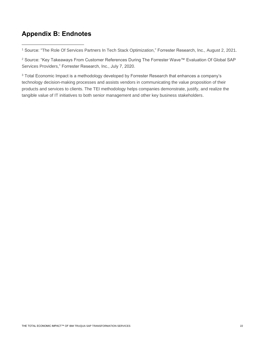## **Appendix B: Endnotes**

<sup>2</sup> Source: "Key Takeaways From Customer References During The Forrester Wave™ Evaluation Of Global SAP Services Providers," Forrester Research, Inc., July 7, 2020.

<sup>3</sup> Total Economic Impact is a methodology developed by Forrester Research that enhances a company's technology decision-making processes and assists vendors in communicating the value proposition of their products and services to clients. The TEI methodology helps companies demonstrate, justify, and realize the tangible value of IT initiatives to both senior management and other key business stakeholders.

<sup>1</sup> Source: "The Role Of Services Partners In Tech Stack Optimization," Forrester Research, Inc., August 2, 2021.